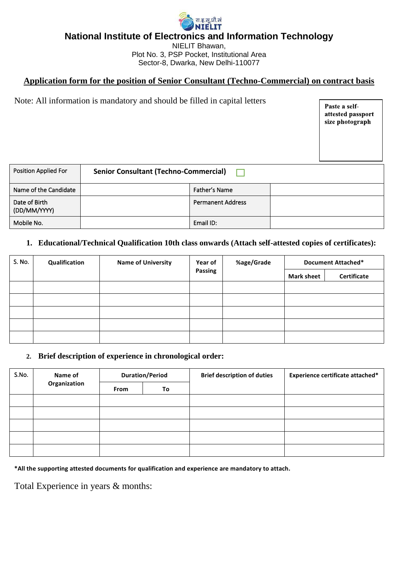

**National Institute of Electronics and Information Technology**

NIELIT Bhawan, Plot No. 3, PSP Pocket, Institutional Area Sector-8, Dwarka, New Delhi-110077

# **Application form for the position of Senior Consultant (Techno-Commercial) on contract basis**

Note: All information is mandatory and should be filled in capital letters

Paste a selfattested passport size photograph

| Position Applied For          | <b>Senior Consultant (Techno-Commercial)</b> |                          |  |  |  |
|-------------------------------|----------------------------------------------|--------------------------|--|--|--|
| Name of the Candidate         |                                              | Father's Name            |  |  |  |
| Date of Birth<br>(DD/MM/YYYY) |                                              | <b>Permanent Address</b> |  |  |  |
| Mobile No.                    |                                              | Email ID:                |  |  |  |

## **1. Educational/Technical Qualification 10th class onwards (Attach self-attested copies of certificates):**

| S. No. | Qualification | <b>Name of University</b> | <b>Year of</b><br>Passing |  | %age/Grade        | Document Attached* |  |
|--------|---------------|---------------------------|---------------------------|--|-------------------|--------------------|--|
|        |               |                           |                           |  | <b>Mark sheet</b> | Certificate        |  |
|        |               |                           |                           |  |                   |                    |  |
|        |               |                           |                           |  |                   |                    |  |
|        |               |                           |                           |  |                   |                    |  |
|        |               |                           |                           |  |                   |                    |  |
|        |               |                           |                           |  |                   |                    |  |

### **2. Brief description of experience in chronological order:**

| S.No. | Name of<br>Organization | <b>Duration/Period</b> |    | <b>Brief description of duties</b> | <b>Experience certificate attached*</b> |
|-------|-------------------------|------------------------|----|------------------------------------|-----------------------------------------|
|       |                         | From                   | To |                                    |                                         |
|       |                         |                        |    |                                    |                                         |
|       |                         |                        |    |                                    |                                         |
|       |                         |                        |    |                                    |                                         |
|       |                         |                        |    |                                    |                                         |
|       |                         |                        |    |                                    |                                         |

**\*All the supporting attested documents for qualification and experience are mandatory to attach.**

Total Experience in years & months: